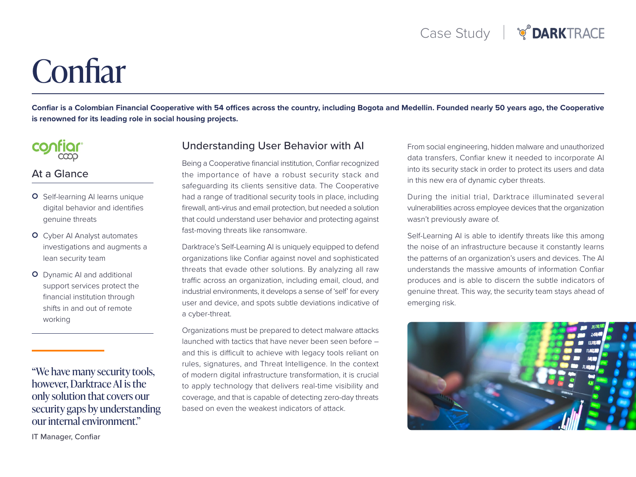# **Confiar**

Confiar is a Colombian Financial Cooperative with 54 offices across the country, including Bogota and Medellin. Founded nearly 50 years ago, the Cooperative is renowned for its leading role in social housing projects.



#### At a Glance

- O Self-learning AI learns unique digital behavior and identifies genuine threats
- **O** Cyber AI Analyst automates investigations and augments a lean security team
- **O** Dynamic AI and additional support services protect the financial institution through shifts in and out of remote working

"We have many security tools, however, Darktrace AI is the only solution that covers our security gaps by understanding our internal environment."

Understanding User Behavior with AI

Being a Cooperative financial institution, Confiar recognized the importance of have a robust security stack and safequarding its clients sensitive data. The Cooperative had a range of traditional security tools in place, including firewall, anti-virus and email protection, but needed a solution that could understand user behavior and protecting against fast-moving threats like ransomware.

Darktrace's Self-Learning AI is uniquely equipped to defend organizations like Confiar against novel and sophisticated threats that evade other solutions. By analyzing all raw traffic across an organization, including email, cloud, and industrial environments, it develops a sense of 'self' for every user and device, and spots subtle deviations indicative of a cyber-threat.

Organizations must be prepared to detect malware attacks launched with tactics that have never been seen before  $$ and this is difficult to achieve with legacy tools reliant on rules, signatures, and Threat Intelligence. In the context of modern digital infrastructure transformation, it is crucial to apply technology that delivers real-time visibility and coverage, and that is capable of detecting zero-day threats based on even the weakest indicators of attack.

From social engineering, hidden malware and unauthorized data transfers, Confiar knew it needed to incorporate AI into its security stack in order to protect its users and data in this new era of dynamic cyber threats.

During the initial trial, Darktrace illuminated several vulnerabilities across employee devices that the organization wasn't previously aware of.

Self-Learning AI is able to identify threats like this among the noise of an infrastructure because it constantly learns the patterns of an organization's users and devices. The AI understands the massive amounts of information Confiar produces and is able to discern the subtle indicators of genuine threat. This way, the security team stays ahead of emerging risk.



IT Manager, Confiar